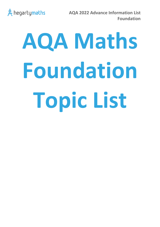

# **AQA Maths Foundation Topic List**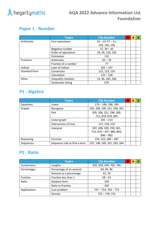

## **Paper 1 - Number**

|                  | <b>Topics</b>             | <b>Clip Number</b>  | R | A | G |
|------------------|---------------------------|---------------------|---|---|---|
| Arithmetic       | Four operations           | $18 - 23, 47 - 51,$ |   |   |   |
|                  |                           | 144, 145, 146       |   |   |   |
|                  | Negative number           | $37, 39 - 43$       |   |   |   |
|                  | Order of operations       | 24, 44, 120, 150    |   |   |   |
|                  | Estimation                | 131                 |   |   |   |
| <b>Fractions</b> | Arithmetic                | $65 - 70$           |   |   |   |
|                  | Fraction of a number      | 77                  |   |   |   |
| Indices          | Laws of indices           | $102 - 107$         |   |   |   |
| Standard form    | Conversion                | 122, 123, 124       |   |   |   |
|                  | Calculation               | $125 - 128$         |   |   |   |
| Other            | Inequality notation       | 14, 46, 265, 266    |   |   |   |
|                  | <b>Systematic listing</b> | 670                 |   |   |   |

# **P1 - Algebra**

|           | <b>Topics</b>                | <b>Clip Number</b>           | R | A | G |
|-----------|------------------------------|------------------------------|---|---|---|
| Equations | Linear                       | $176 - 186$ , 188, 189       |   |   |   |
| Graphs    | Recognise                    | 205, 208, 209, 251, 299, 301 |   |   |   |
|           | Plot                         | 205, 206, 251, 298, 300,     |   |   |   |
|           |                              | 712, 878, 879, 895           |   |   |   |
|           | Linear graph                 | $205 - 213$                  |   |   |   |
|           | Intersection of lines        | 217, 218, 219                |   |   |   |
|           | Interpret                    | 207, 208, 209, 299, 301,     |   |   |   |
|           |                              | 713, 874 - 877, 880, 894,    |   |   |   |
|           |                              | $896 - 902$                  |   |   |   |
| Reasoning | Formula                      | $154, 155, 280 - 287$        |   |   |   |
| Sequences | Sequence rule to find a term | 197, 198, 249, 261, 263, 264 |   |   |   |

#### **P1 - Ratio**

|              | <b>Topics</b>           | <b>Clip Number</b>      | R | А |  |
|--------------|-------------------------|-------------------------|---|---|--|
| Conversions  | Lengths                 | 692, 693, 694, 705, 706 |   |   |  |
| Percentages  | Percentage of an amount | 84, 85, 86              |   |   |  |
|              | Amount as a percentage  | 62,76                   |   |   |  |
| Fraction     | Fraction less than 1    | $58 - 61$               |   |   |  |
| Ratio        | Simplest form           | 329                     |   |   |  |
|              | Ratio to fraction       | 330                     |   |   |  |
| Applications | Cost problem            | $747 - 754, 763 - 772$  |   |   |  |
|              | Density                 | $725 - 729, 731$        |   |   |  |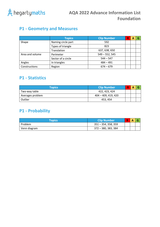

## **P1 - Geometry and Measures**

|                 | <b>Topics</b>      | <b>Clip Number</b> | R | А | G |
|-----------------|--------------------|--------------------|---|---|---|
| Shape           | Naming circle part | 592                |   |   |   |
|                 | Types of triangle  | 823                |   |   |   |
|                 | Translation        | 637, 638, 650      |   |   |   |
| Area and volume | Perimeter          | $549 - 552, 545$   |   |   |   |
|                 | Sector of a circle | $544 - 547$        |   |   |   |
| Angles          | In triangles       | $484 - 491$        |   |   |   |
| Constructions   | Region             | $674 - 679$        |   |   |   |

#### **P1 - Statistics**

| Topics           | <b>Clip Number</b>  |  |  |
|------------------|---------------------|--|--|
| Two-way table    | 422, 423, 424       |  |  |
| Averages problem | 404 - 409, 419, 420 |  |  |
| Outlier          | 453, 454            |  |  |

## **P1 - Probability**

| Topics'        | Clip Number         | R | A |  |
|----------------|---------------------|---|---|--|
| <b>Problem</b> | 351 – 354, 358, 359 |   |   |  |
| Venn diagram   | 372 - 380, 383, 384 |   |   |  |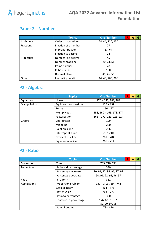

## **Paper 2 - Number**

|                  | <b>Topics</b>        | <b>Clip Number</b> | R | A | G |
|------------------|----------------------|--------------------|---|---|---|
| Arithmetic       | Order of operations  | 24, 44, 120, 150   |   |   |   |
| <b>Fractions</b> | Fraction of a number | 77                 |   |   |   |
|                  | Improper fraction    | 63, 64             |   |   |   |
|                  | Fraction to decimal  | 74                 |   |   |   |
| Properties       | Number line decimal  | 45                 |   |   |   |
|                  | Number problem       | 20, 23, 51         |   |   |   |
|                  | Prime number         | 28                 |   |   |   |
|                  | Cube number          | 100                |   |   |   |
|                  | Decimal place        | 45, 46, 56         |   |   |   |
| Other            | Inequality notation  | 14, 46, 265, 266   |   |   |   |

# **P2 - Algebra**

|              | <b>Topics</b>          | <b>Clip Number</b>       | R | A | G |
|--------------|------------------------|--------------------------|---|---|---|
| Equations    | Linear                 | $176 - 186, 188, 189$    |   |   |   |
| Manipulation | Equivalent expressions | $156 - 159$              |   |   |   |
|              | Terms                  | 156, 157                 |   |   |   |
|              | Multiply out           | 158, 160 - 165, 173, 174 |   |   |   |
|              | Factorisation          | 168 - 171, 221, 223, 224 |   |   |   |
| Graphs       | Coordinates            | 199                      |   |   |   |
|              | Midpoint               | 200                      |   |   |   |
|              | Point on a line        | 206                      |   |   |   |
|              | Intercept of a line    | 207, 210                 |   |   |   |
|              | Gradient of a line     | $201 - 204$              |   |   |   |
|              | Equation of a line     | $205 - 214$              |   |   |   |

#### **P2 - Ratio**

|              | <b>Topics</b>          | <b>Clip Number</b>         | R | А | G |
|--------------|------------------------|----------------------------|---|---|---|
| Conversions  | Time                   | 709, 710, 711              |   |   |   |
| Percentages  | Ratio and percentage   | 330                        |   |   |   |
|              | Percentage increase    | 90, 91, 92, 94, 96, 97, 98 |   |   |   |
|              | Percentage decrease    | 90, 91, 92, 95, 96, 97     |   |   |   |
| Ratio        | $n:1$ form             | 331                        |   |   |   |
| Applications | Proportion problem     | $339 - 342, 739 - 742$     |   |   |   |
|              | Scale diagram          | $864 - 871$                |   |   |   |
|              | Better value           | $763 - 772$                |   |   |   |
|              | Ratio to percentage    | 330                        |   |   |   |
|              | Equation to percentage | 176, 82, 83, 87,           |   |   |   |
|              |                        | 89, 90, 97, 98             |   |   |   |
|              | Rate of output         | 738,896                    |   |   |   |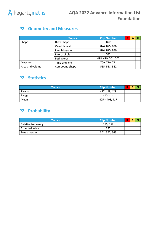

## **P2 - Geometry and Measures**

|                 | <b>Topics</b>  | <b>Clip Number</b> | R. | А | G |
|-----------------|----------------|--------------------|----|---|---|
| <b>Shapes</b>   | Draw shape     | 822                |    |   |   |
|                 | Quadrilateral  | 824, 825, 826      |    |   |   |
|                 | Parallelogram  | 824, 825, 826      |    |   |   |
|                 | Part of circle | 592                |    |   |   |
|                 | Pythagoras     | 498, 499, 501, 502 |    |   |   |
| Measures        | Time problem   | 709, 710, 711      |    |   |   |
| Area and volume | Compound shape | 555, 558, 582      |    |   |   |

#### **P2 - Statistics**

| <b>Topics</b> | <b>Clip Number</b> | R | Α |  |
|---------------|--------------------|---|---|--|
| Pie chart     | 427, 428, 429      |   |   |  |
| Range         | 410, 414           |   |   |  |
| Mean          | 405 – 408, 417     |   |   |  |

## **P2 - Probability**

| <b>Topics</b>      | <b>Clip Number</b> | R | Α |  |
|--------------------|--------------------|---|---|--|
| Relative frequency | 356, 357           |   |   |  |
| Expected value     | 355                |   |   |  |
| Tree diagram       | 361, 362, 363      |   |   |  |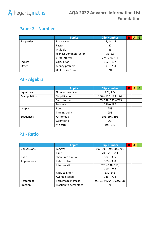

## **Paper 3 - Number**

|            | <b>Topics</b>                | <b>Clip Number</b> | R | А | G |
|------------|------------------------------|--------------------|---|---|---|
| Properties | Place value                  | 13, 14, 45         |   |   |   |
|            | Factor                       | 27                 |   |   |   |
|            | Multiple                     | 33                 |   |   |   |
|            | <b>Highest Common Factor</b> | 31, 32             |   |   |   |
|            | Error interval               | 774, 775, 776      |   |   |   |
| Indices    | Calculation                  | $102 - 107$        |   |   |   |
| Other      | Money problem                | $747 - 754$        |   |   |   |
|            | Units of measure             | 691                |   |   |   |

# **P3 - Algebra**

|              | <b>Topics</b>  | <b>Clip Number</b>    | $\mathbb R$ | А | G |
|--------------|----------------|-----------------------|-------------|---|---|
| Equations    | Number machine | 176, 177              |             |   |   |
| Manipulation | Simplification | 156 - 159, 173, 174   |             |   |   |
|              | Substitution   | $155, 278, 780 - 783$ |             |   |   |
|              | Formula        | $280 - 287$           |             |   |   |
| Graphs       | Roots          | 253                   |             |   |   |
|              | Turning point  | 255                   |             |   |   |
| Sequences    | Arithmetic     | 196, 197, 198         |             |   |   |
|              | Geometric      | 264                   |             |   |   |
|              | nth term       | 198, 249              |             |   |   |

#### **P3 - Ratio**

|              | <b>Topics</b>          | <b>Clip Number</b>         | R | А | G |
|--------------|------------------------|----------------------------|---|---|---|
| Conversions  | Lengths                | 692, 693, 694, 705, 706    |   |   |   |
|              | Time                   | 709, 710, 711              |   |   |   |
| Ratio        | Share into a ratio     | $332 - 335$                |   |   |   |
| Applications | Ratio problem          | $335 - 338$                |   |   |   |
|              | Interpretation         | $328 - 348, 713,$          |   |   |   |
|              |                        | $739 - 742$                |   |   |   |
|              | Ratio to graph         | 330, 348                   |   |   |   |
|              | Average speed          | $716 - 724$                |   |   |   |
| Percentage   | Percentage increase    | 90, 91, 92, 94, 96, 97, 98 |   |   |   |
| Fraction     | Fraction to percentage | 76                         |   |   |   |